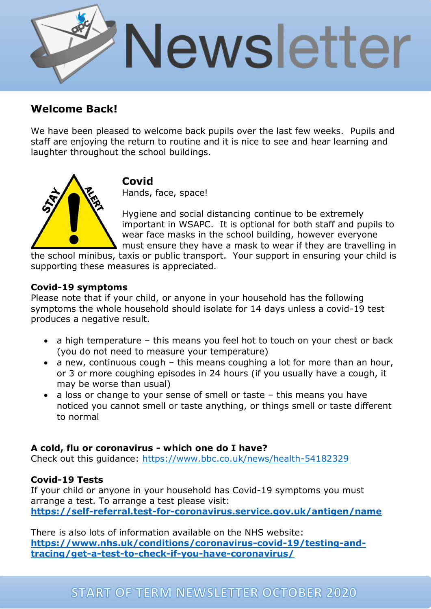

# **Welcome Back!**

We have been pleased to welcome back pupils over the last few weeks. Pupils and staff are enjoying the return to routine and it is nice to see and hear learning and laughter throughout the school buildings.



**Covid**

Hands, face, space!

Hygiene and social distancing continue to be extremely important in WSAPC. It is optional for both staff and pupils to wear face masks in the school building, however everyone must ensure they have a mask to wear if they are travelling in

the school minibus, taxis or public transport. Your support in ensuring your child is supporting these measures is appreciated.

#### **Covid-19 symptoms**

Please note that if your child, or anyone in your household has the following symptoms the whole household should isolate for 14 days unless a covid-19 test produces a negative result.

- a high temperature this means you feel hot to touch on your chest or back (you do not need to measure your temperature)
- a new, continuous cough this means coughing a lot for more than an hour, or 3 or more coughing episodes in 24 hours (if you usually have a cough, it may be worse than usual)
- a loss or change to your sense of smell or taste this means you have noticed you cannot smell or taste anything, or things smell or taste different to normal

### **A cold, flu or coronavirus - which one do I have?**

Check out this guidance:<https://www.bbc.co.uk/news/health-54182329>

### **Covid-19 Tests**

If your child or anyone in your household has Covid-19 symptoms you must arrange a test. To arrange a test please visit: **<https://self-referral.test-for-coronavirus.service.gov.uk/antigen/name>**

There is also lots of information available on the NHS website: **[https://www.nhs.uk/conditions/coronavirus-covid-19/testing-and](https://www.nhs.uk/conditions/coronavirus-covid-19/testing-and-tracing/get-a-test-to-check-if-you-have-coronavirus/)[tracing/get-a-test-to-check-if-you-have-coronavirus/](https://www.nhs.uk/conditions/coronavirus-covid-19/testing-and-tracing/get-a-test-to-check-if-you-have-coronavirus/)**

# **START OF TERM NEWSLETTER OCTOBER 2020**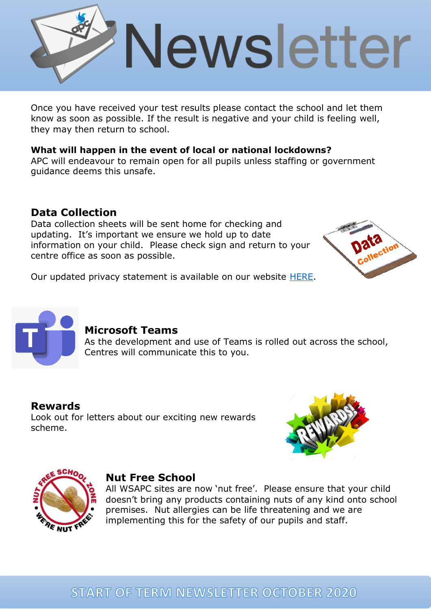

Once you have received your test results please contact the school and let them know as soon as possible. If the result is negative and your child is feeling well, they may then return to school.

## **What will happen in the event of local or national lockdowns?**

APC will endeavour to remain open for all pupils unless staffing or government guidance deems this unsafe.

# **Data Collection**

Data collection sheets will be sent home for checking and updating. It's important we ensure we hold up to date information on your child. Please check sign and return to your centre office as soon as possible.



Our updated privacy statement is available on our website [HERE.](http://apcollege.co.uk/wp-content/uploads/2016/10/Privacy-Notice-Pupil-1.pdf)



## **Microsoft Teams**

As the development and use of Teams is rolled out across the school, Centres will communicate this to you.

**Rewards** Look out for letters about our exciting new rewards scheme.





### **Nut Free School**

All WSAPC sites are now 'nut free'. Please ensure that your child doesn't bring any products containing nuts of any kind onto school premises. Nut allergies can be life threatening and we are implementing this for the safety of our pupils and staff.

# **START OF TERM NEWSLETTER OCTOBER 2020**